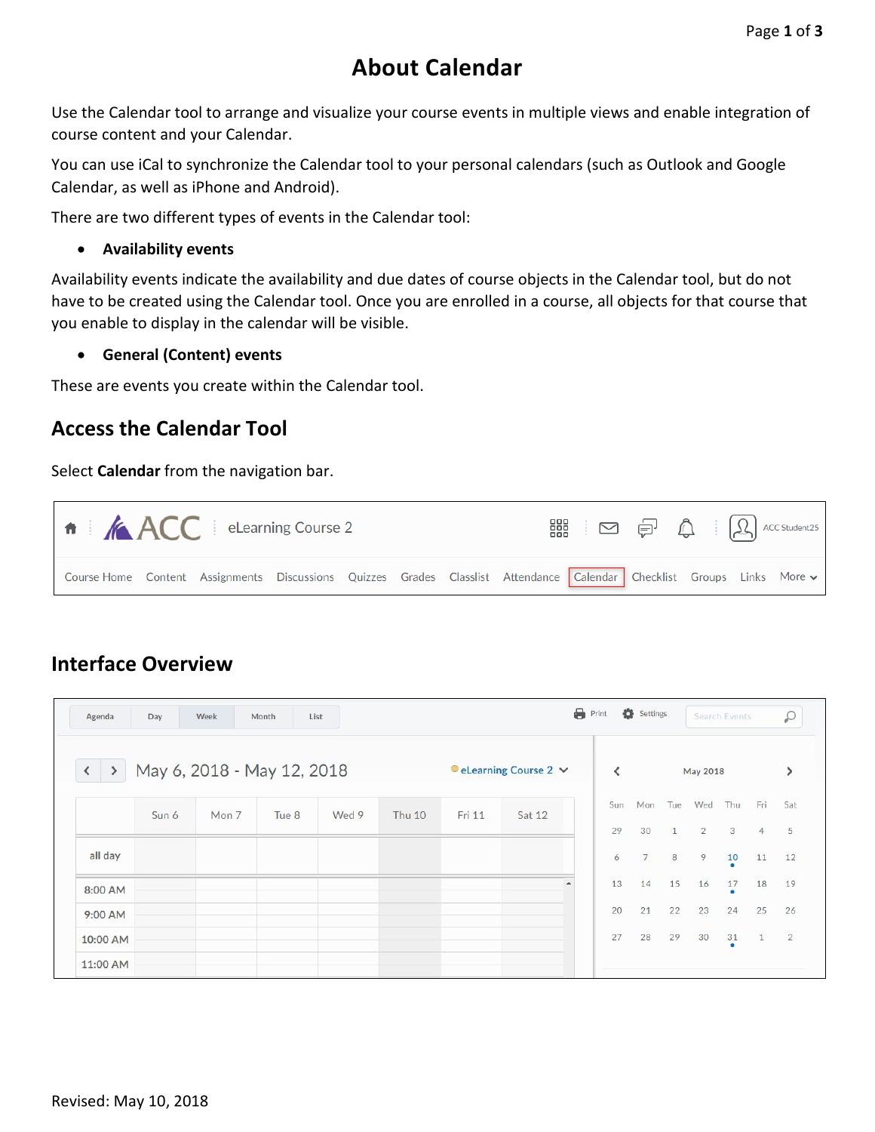## **About Calendar**

Use the Calendar tool to arrange and visualize your course events in multiple views and enable integration of course content and your Calendar.

You can use iCal to synchronize the Calendar tool to your personal calendars (such as Outlook and Google Calendar, as well as iPhone and Android).

There are two different types of events in the Calendar tool:

## • **Availability events**

Availability events indicate the availability and due dates of course objects in the Calendar tool, but do not have to be created using the Calendar tool. Once you are enrolled in a course, all objects for that course that you enable to display in the calendar will be visible.

• **General (Content) events**

These are events you create within the Calendar tool.

## **Access the Calendar Tool**

Select **Calendar** from the navigation bar.

| $\mathsf{A}$ $\mathsf{A}\mathsf{C}\mathsf{C}$ eLearning Course 2                                                     |  |  |  | $\begin{picture}(120,140)(-30,0) \put(0,0){\vector(1,0){180}} \put(15,0){\vector(1,0){180}} \put(15,0){\vector(1,0){180}} \put(15,0){\vector(1,0){180}} \put(15,0){\vector(1,0){180}} \put(15,0){\vector(1,0){180}} \put(15,0){\vector(1,0){180}} \put(15,0){\vector(1,0){180}} \put(15,0){\vector(1,0){180}} \put(15,0){\vector(1,0){180}} \put(15,0){\vector(1$ |  |  |
|----------------------------------------------------------------------------------------------------------------------|--|--|--|-------------------------------------------------------------------------------------------------------------------------------------------------------------------------------------------------------------------------------------------------------------------------------------------------------------------------------------------------------------------|--|--|
| Course Home Content Assignments Discussions Quizzes Grades Classlist Attendance Calendar Checklist Groups Links More |  |  |  |                                                                                                                                                                                                                                                                                                                                                                   |  |  |

## **Interface Overview**

| Agenda                                                | Day   | Week  | Month<br>List |       |                                        |        |        |                          | Print          | Settings        |              |                | Search Events  |                | $\mathcal{Q}$  |
|-------------------------------------------------------|-------|-------|---------------|-------|----------------------------------------|--------|--------|--------------------------|----------------|-----------------|--------------|----------------|----------------|----------------|----------------|
| May 6, 2018 - May 12, 2018<br>$\langle \quad \rangle$ |       |       |               |       | $\bullet$ eLearning Course 2 $\bullet$ |        |        | $\overline{\phantom{a}}$ | May 2018       |                 |              |                |                |                |                |
|                                                       | Sun 6 | Mon 7 | Tue 8         | Wed 9 | Thu 10                                 | Fri 11 | Sat 12 |                          | Sun            | Mon             | Tue          | Wed            | Thu            | Fri            | Sat            |
|                                                       |       |       |               |       |                                        |        |        |                          | 29             | 30              | $\mathbf{1}$ | $\overline{2}$ | 3              | $\overline{4}$ | 5              |
| all day                                               |       |       |               |       |                                        |        |        |                          | $\ddot{\rm 6}$ | $7\overline{ }$ | 8            | 9              | 10             | 11             | 12             |
| 8:00 AM                                               |       |       |               |       |                                        |        |        |                          | 13             | 14              | 15           | 16             | $\frac{17}{6}$ | 18             | 19             |
| $9:00$ AM                                             |       |       |               |       |                                        |        |        |                          | 20             | 21              | 22           | 23             | 24             | 25             | 26             |
| 10:00 AM                                              |       |       |               |       |                                        |        |        |                          | 27             | 28              | 29           | 30             | $\frac{31}{9}$ | $\mathbf{1}$   | $\overline{2}$ |
| 11:00 AM                                              |       |       |               |       |                                        |        |        |                          |                |                 |              |                |                |                |                |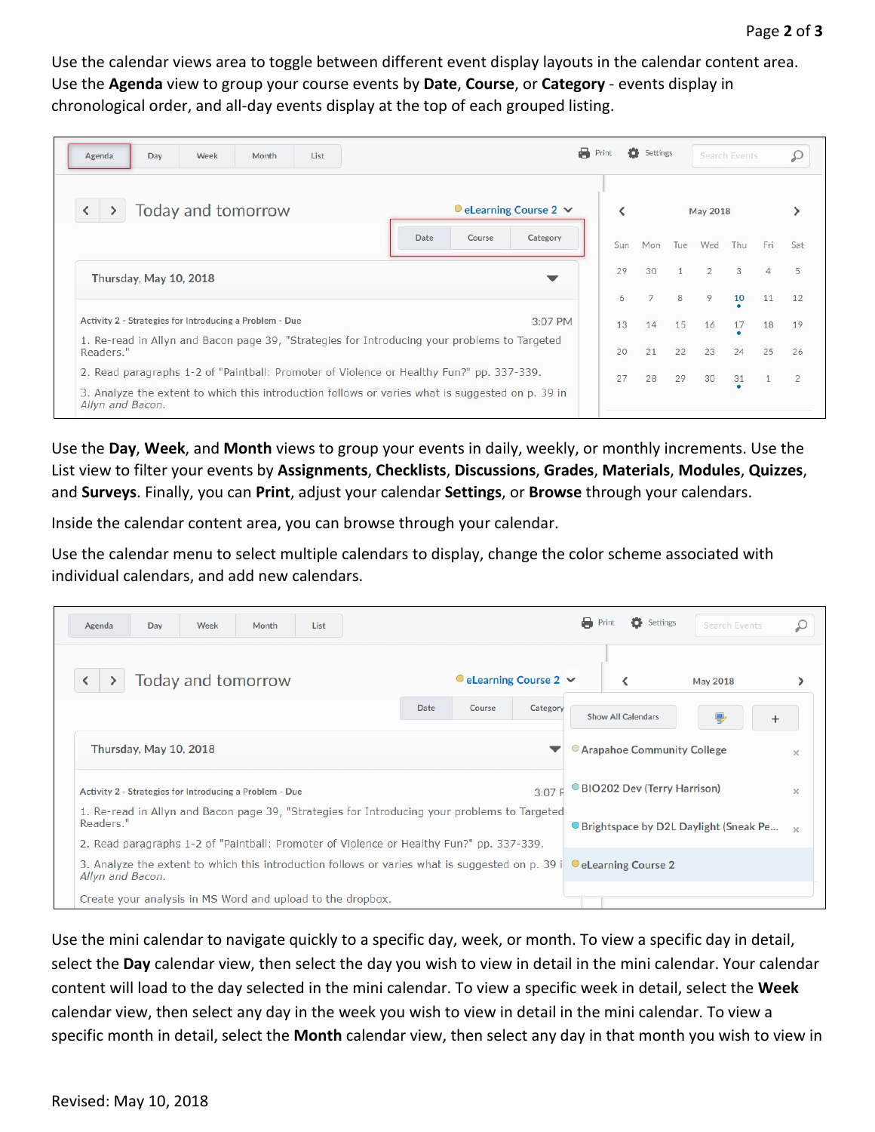Use the calendar views area to toggle between different event display layouts in the calendar content area. Use the **Agenda** view to group your course events by **Date**, **Course**, or **Category** - events display in chronological order, and all-day events display at the top of each grouped listing.

| Week<br>List<br>Day<br>Month<br>Agenda                                                                               | a                                                      | Print | Settings |              |          | Search Events |     |               |
|----------------------------------------------------------------------------------------------------------------------|--------------------------------------------------------|-------|----------|--------------|----------|---------------|-----|---------------|
| Today and tomorrow                                                                                                   | $\bullet$ eLearning Course 2 $\,\,\blacktriangleright$ |       |          |              | May 2018 |               |     |               |
|                                                                                                                      | Date<br>Course<br>Category                             | Sun   | Mon      | Tue          | Wed      | Thu           | Fri | Sat           |
| Thursday, May 10, 2018                                                                                               |                                                        | 29    | 30       | $\mathbf{1}$ | 2        | 3             |     | 5             |
|                                                                                                                      |                                                        | 6     |          | 8            | 9        | 10            | 11  | 12            |
| Activity 2 - Strategies for Introducing a Problem - Due                                                              | $3:07$ PM                                              | 13    | 14       | 15           | 16       | 17            | 18  | 19            |
| 1. Re-read in Allyn and Bacon page 39, "Strategies for Introducing your problems to Targeted<br>Readers."            |                                                        | 20    | 21       | 22           | 23       | 24            | 25  | 26            |
| 2. Read paragraphs 1-2 of "Paintball: Promoter of Violence or Healthy Fun?" pp. 337-339.                             |                                                        | 27    | 28       | 29           | 30       | 31            |     | $\mathcal{P}$ |
| 3. Analyze the extent to which this introduction follows or varies what is suggested on p. 39 in<br>Allyn and Bacon. |                                                        |       |          |              |          |               |     |               |

Use the **Day**, **Week**, and **Month** views to group your events in daily, weekly, or monthly increments. Use the List view to filter your events by **Assignments**, **Checklists**, **Discussions**, **Grades**, **Materials**, **Modules**, **Quizzes**, and **Surveys**. Finally, you can **Print**, adjust your calendar **Settings**, or **Browse** through your calendars.

Inside the calendar content area, you can browse through your calendar.

Use the calendar menu to select multiple calendars to display, change the color scheme associated with individual calendars, and add new calendars.

| List<br>Week<br>Day<br>Month<br>Agenda                                                                    |                                                                                                                                                                                                                                                                                                                                                                                                                               |  |  | a<br>Print | Search Events |  |
|-----------------------------------------------------------------------------------------------------------|-------------------------------------------------------------------------------------------------------------------------------------------------------------------------------------------------------------------------------------------------------------------------------------------------------------------------------------------------------------------------------------------------------------------------------|--|--|------------|---------------|--|
| Today and tomorrow                                                                                        | Settings<br>$\bullet$ eLearning Course 2 $\sim$<br>May 2018<br>Date<br>Category<br>Course<br><b>Show All Calendars</b><br>믶<br>$\pm$<br>• Arapahoe Community College<br>$\times$<br>● BIO202 Dev (Terry Harrison)<br>3:07 F<br>$\times$<br>• Brightspace by D2L Daylight (Sneak Pe $\rightarrow$<br>3. Analyze the extent to which this introduction follows or varies what is suggested on p. 39 i <b>eLearning Course 2</b> |  |  |            |               |  |
|                                                                                                           |                                                                                                                                                                                                                                                                                                                                                                                                                               |  |  |            |               |  |
| Thursday, May 10, 2018                                                                                    |                                                                                                                                                                                                                                                                                                                                                                                                                               |  |  |            |               |  |
| Activity 2 - Strategies for Introducing a Problem - Due                                                   |                                                                                                                                                                                                                                                                                                                                                                                                                               |  |  |            |               |  |
| 1. Re-read in Allyn and Bacon page 39, "Strategies for Introducing your problems to Targeted<br>Readers." |                                                                                                                                                                                                                                                                                                                                                                                                                               |  |  |            |               |  |
| 2. Read paragraphs 1-2 of "Paintball: Promoter of Violence or Healthy Fun?" pp. 337-339.                  |                                                                                                                                                                                                                                                                                                                                                                                                                               |  |  |            |               |  |
| Allyn and Bacon.                                                                                          |                                                                                                                                                                                                                                                                                                                                                                                                                               |  |  |            |               |  |
| Create your analysis in MS Word and upload to the dropbox.                                                |                                                                                                                                                                                                                                                                                                                                                                                                                               |  |  |            |               |  |

Use the mini calendar to navigate quickly to a specific day, week, or month. To view a specific day in detail, select the **Day** calendar view, then select the day you wish to view in detail in the mini calendar. Your calendar content will load to the day selected in the mini calendar. To view a specific week in detail, select the **Week** calendar view, then select any day in the week you wish to view in detail in the mini calendar. To view a specific month in detail, select the **Month** calendar view, then select any day in that month you wish to view in